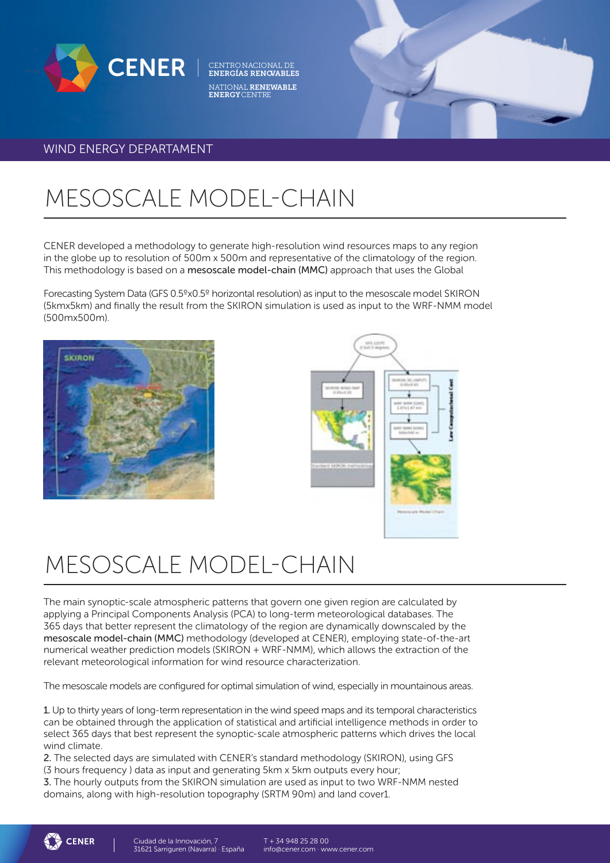

CENTRONACIONAL DE<br>**ENERGÍAS RENOVABLES** NATIONAL RENEWABLE ENERGYCENTRE

### WIND ENERGY DEPARTAMENT

# MESOSCALE MODEL-CHAIN

CENER developed a methodology to generate high-resolution wind resources maps to any region in the globe up to resolution of 500m x 500m and representative of the climatology of the region. This methodology is based on a mesoscale model-chain (MMC) approach that uses the Global

Forecasting System Data (GFS 0.5ºx0.5º horizontal resolution) as input to the mesoscale model SKIRON (5kmx5km) and finally the result from the SKIRON simulation is used as input to the WRF-NMM model (500mx500m).





## MESOSCALE MODEL-CHAIN

The main synoptic-scale atmospheric patterns that govern one given region are calculated by applying a Principal Components Analysis (PCA) to long-term meteorological databases. The 365 days that better represent the climatology of the region are dynamically downscaled by the mesoscale model-chain (MMC) methodology (developed at CENER), employing state-of-the-art numerical weather prediction models (SKIRON + WRF-NMM), which allows the extraction of the relevant meteorological information for wind resource characterization.

The mesoscale models are configured for optimal simulation of wind, especially in mountainous areas.

1. Up to thirty years of long-term representation in the wind speed maps and its temporal characteristics can be obtained through the application of statistical and artificial intelligence methods in order to select 365 days that best represent the synoptic-scale atmospheric patterns which drives the local wind climate.

2. The selected days are simulated with CENER's standard methodology (SKIRON), using GFS (3 hours frequency ) data as input and generating 5km x 5km outputs every hour;

3. The hourly outputs from the SKIRON simulation are used as input to two WRF-NMM nested domains, along with high-resolution topography (SRTM 90m) and land cover1.